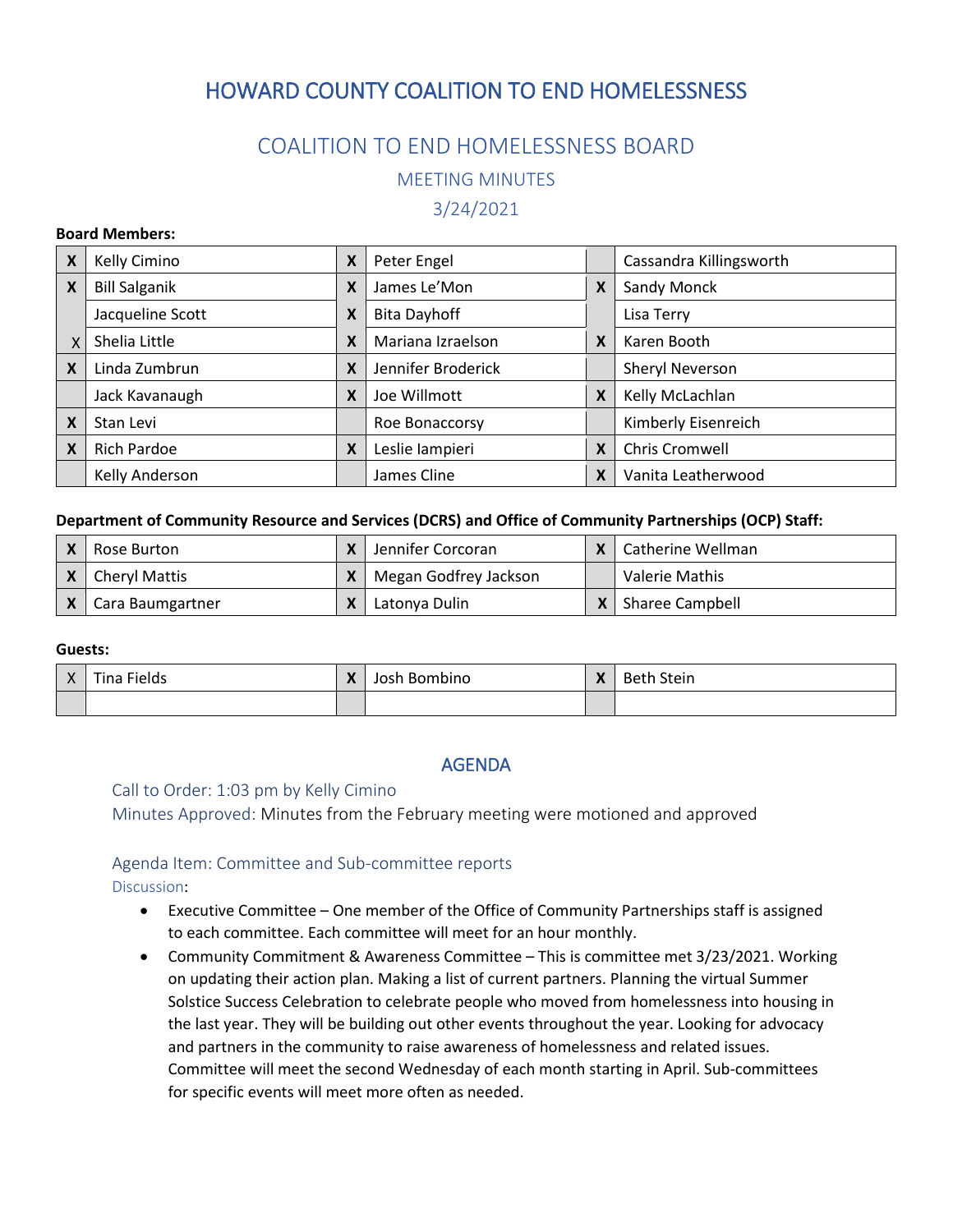# HOWARD COUNTY COALITION TO END HOMELESSNESS

## COALITION TO END HOMELESSNESS BOARD

MEETING MINUTES

3/24/2021

#### **Board Members:**

| X        | Kelly Cimino         | X | Peter Engel         |   | Cassandra Killingsworth |
|----------|----------------------|---|---------------------|---|-------------------------|
| X        | <b>Bill Salganik</b> | Χ | James Le'Mon        | X | Sandy Monck             |
|          | Jacqueline Scott     | Χ | <b>Bita Dayhoff</b> |   | Lisa Terry              |
| <b>X</b> | Shelia Little        | X | Mariana Izraelson   | X | Karen Booth             |
| X        | Linda Zumbrun        | X | Jennifer Broderick  |   | Sheryl Neverson         |
|          | Jack Kavanaugh       | X | Joe Willmott        | X | Kelly McLachlan         |
| X        | Stan Levi            |   | Roe Bonaccorsy      |   | Kimberly Eisenreich     |
| X        | <b>Rich Pardoe</b>   | X | Leslie lampieri     | X | Chris Cromwell          |
|          | Kelly Anderson       |   | James Cline         | X | Vanita Leatherwood      |

#### **Department of Community Resource and Services (DCRS) and Office of Community Partnerships (OCP) Staff:**

| Rose Burton          | Jennifer Corcoran     | Catherine Wellman     |
|----------------------|-----------------------|-----------------------|
| <b>Cheryl Mattis</b> | Megan Godfrey Jackson | <b>Valerie Mathis</b> |
| Cara Baumgartner     | Latonya Dulin         | Sharee Campbell       |

#### **Guests:**

| $\mathbf{v}$<br>$\Lambda$ | Fields<br>$- \cdot$<br>Tina | X | Josh Bombino | X | <b>Beth Stein</b> |
|---------------------------|-----------------------------|---|--------------|---|-------------------|
|                           |                             |   |              |   |                   |

## AGENDA

#### Call to Order: 1:03 pm by Kelly Cimino

Minutes Approved: Minutes from the February meeting were motioned and approved

### Agenda Item: Committee and Sub-committee reports

Discussion:

- Executive Committee One member of the Office of Community Partnerships staff is assigned to each committee. Each committee will meet for an hour monthly.
- Community Commitment & Awareness Committee This is committee met 3/23/2021. Working on updating their action plan. Making a list of current partners. Planning the virtual Summer Solstice Success Celebration to celebrate people who moved from homelessness into housing in the last year. They will be building out other events throughout the year. Looking for advocacy and partners in the community to raise awareness of homelessness and related issues. Committee will meet the second Wednesday of each month starting in April. Sub-committees for specific events will meet more often as needed.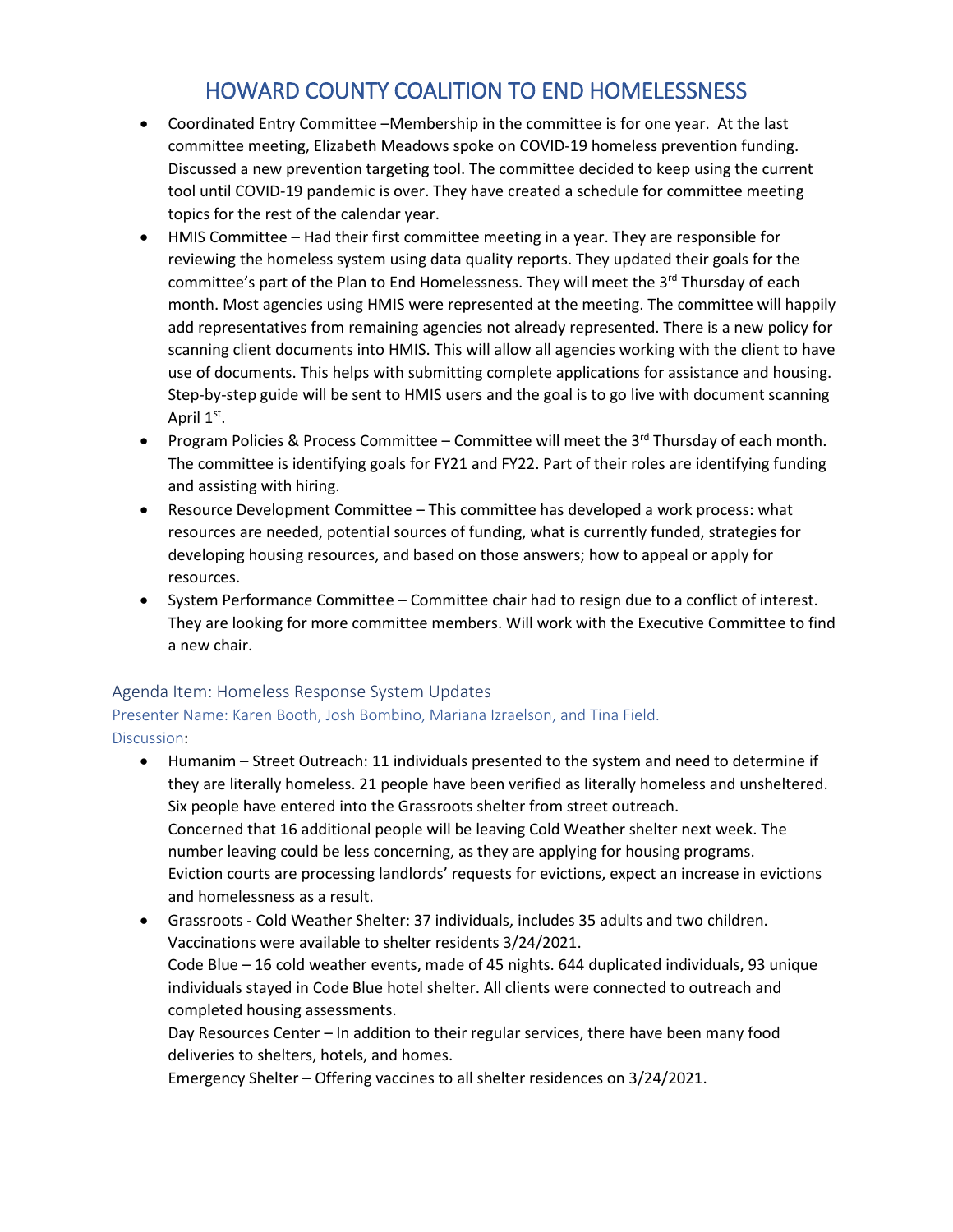## HOWARD COUNTY COALITION TO END HOMELESSNESS

- Coordinated Entry Committee –Membership in the committee is for one year. At the last committee meeting, Elizabeth Meadows spoke on COVID-19 homeless prevention funding. Discussed a new prevention targeting tool. The committee decided to keep using the current tool until COVID-19 pandemic is over. They have created a schedule for committee meeting topics for the rest of the calendar year.
- HMIS Committee Had their first committee meeting in a year. They are responsible for reviewing the homeless system using data quality reports. They updated their goals for the committee's part of the Plan to End Homelessness. They will meet the 3<sup>rd</sup> Thursday of each month. Most agencies using HMIS were represented at the meeting. The committee will happily add representatives from remaining agencies not already represented. There is a new policy for scanning client documents into HMIS. This will allow all agencies working with the client to have use of documents. This helps with submitting complete applications for assistance and housing. Step-by-step guide will be sent to HMIS users and the goal is to go live with document scanning April 1<sup>st</sup>.
- Program Policies & Process Committee Committee will meet the  $3<sup>rd</sup>$  Thursday of each month. The committee is identifying goals for FY21 and FY22. Part of their roles are identifying funding and assisting with hiring.
- Resource Development Committee This committee has developed a work process: what resources are needed, potential sources of funding, what is currently funded, strategies for developing housing resources, and based on those answers; how to appeal or apply for resources.
- System Performance Committee Committee chair had to resign due to a conflict of interest. They are looking for more committee members. Will work with the Executive Committee to find a new chair.

## Agenda Item: Homeless Response System Updates

Presenter Name: Karen Booth, Josh Bombino, Mariana Izraelson, and Tina Field. Discussion:

- Humanim Street Outreach: 11 individuals presented to the system and need to determine if they are literally homeless. 21 people have been verified as literally homeless and unsheltered. Six people have entered into the Grassroots shelter from street outreach. Concerned that 16 additional people will be leaving Cold Weather shelter next week. The number leaving could be less concerning, as they are applying for housing programs. Eviction courts are processing landlords' requests for evictions, expect an increase in evictions and homelessness as a result.
- Grassroots Cold Weather Shelter: 37 individuals, includes 35 adults and two children. Vaccinations were available to shelter residents 3/24/2021. Code Blue – 16 cold weather events, made of 45 nights. 644 duplicated individuals, 93 unique individuals stayed in Code Blue hotel shelter. All clients were connected to outreach and completed housing assessments.

Day Resources Center – In addition to their regular services, there have been many food deliveries to shelters, hotels, and homes.

Emergency Shelter – Offering vaccines to all shelter residences on 3/24/2021.